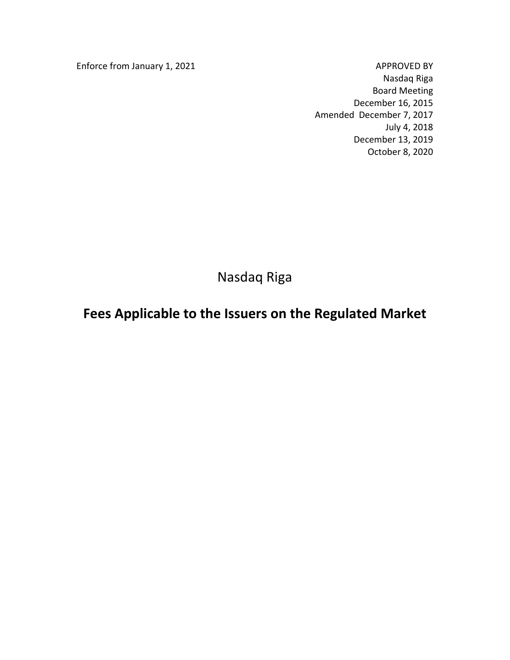Enforce from January 1, 2021 and the state of the APPROVED BY

Nasdaq Riga Board Meeting December 16, 2015 Amended December 7, 2017 July 4, 2018 December 13, 2019 October 8, 2020

Nasdaq Riga

# **Fees Applicable to the Issuers on the Regulated Market**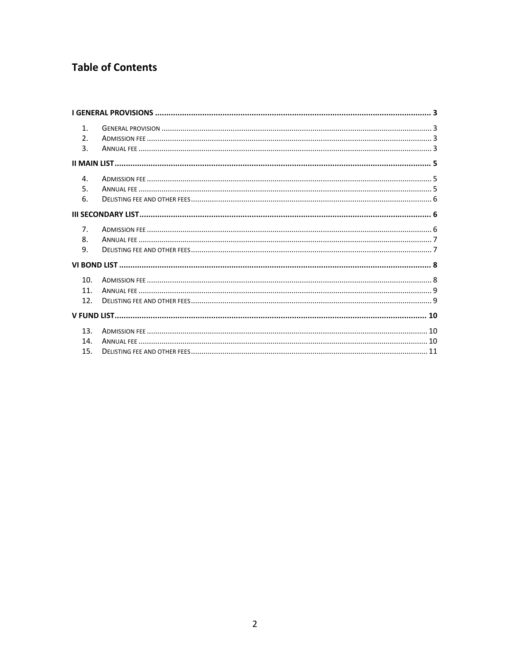# **Table of Contents**

| 1 <sub>1</sub><br>2.5 |  |
|-----------------------|--|
| 3.                    |  |
|                       |  |
| $\mathbf{4}$ .        |  |
| 5.                    |  |
| 6.                    |  |
|                       |  |
| 7 <sub>1</sub>        |  |
| 8.                    |  |
| 9.                    |  |
|                       |  |
| 10.                   |  |
| 11                    |  |
| 12.                   |  |
|                       |  |
| 13.                   |  |
| 14.                   |  |
| 15.                   |  |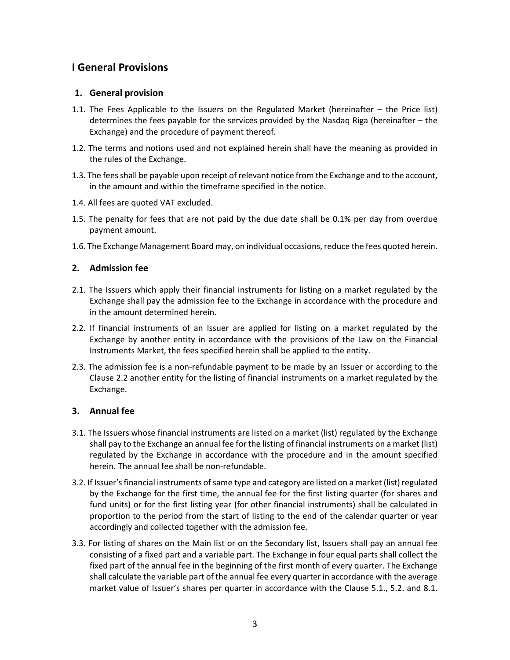# <span id="page-2-0"></span>**I General Provisions**

### <span id="page-2-1"></span>**1. General provision**

- 1.1. The Fees Applicable to the Issuers on the Regulated Market (hereinafter the Price list) determines the fees payable for the services provided by the Nasdaq Riga (hereinafter – the Exchange) and the procedure of payment thereof.
- 1.2. The terms and notions used and not explained herein shall have the meaning as provided in the rules of the Exchange.
- 1.3. The fees shall be payable upon receipt of relevant notice from the Exchange and to the account, in the amount and within the timeframe specified in the notice.
- 1.4. All fees are quoted VAT excluded.
- 1.5. The penalty for fees that are not paid by the due date shall be 0.1% per day from overdue payment amount.
- 1.6. The Exchange Management Board may, on individual occasions, reduce the fees quoted herein.

### <span id="page-2-2"></span>**2. Admission fee**

- 2.1. The Issuers which apply their financial instruments for listing on a market regulated by the Exchange shall pay the admission fee to the Exchange in accordance with the procedure and in the amount determined herein.
- 2.2. If financial instruments of an Issuer are applied for listing on a market regulated by the Exchange by another entity in accordance with the provisions of the Law on the Financial Instruments Market, the fees specified herein shall be applied to the entity.
- 2.3. The admission fee is a non-refundable payment to be made by an Issuer or according to the Clause 2.2 another entity for the listing of financial instruments on a market regulated by the Exchange.

### <span id="page-2-3"></span>**3. Annual fee**

- 3.1. The Issuers whose financial instruments are listed on a market (list) regulated by the Exchange shall pay to the Exchange an annual fee for the listing of financial instruments on a market (list) regulated by the Exchange in accordance with the procedure and in the amount specified herein. The annual fee shall be non-refundable.
- 3.2. If Issuer's financial instruments of same type and category are listed on a market (list) regulated by the Exchange for the first time, the annual fee for the first listing quarter (for shares and fund units) or for the first listing year (for other financial instruments) shall be calculated in proportion to the period from the start of listing to the end of the calendar quarter or year accordingly and collected together with the admission fee.
- 3.3. For listing of shares on the Main list or on the Secondary list, Issuers shall pay an annual fee consisting of a fixed part and a variable part. The Exchange in four equal parts shall collect the fixed part of the annual fee in the beginning of the first month of every quarter. The Exchange shall calculate the variable part of the annual fee every quarter in accordance with the average market value of Issuer's shares per quarter in accordance with the Clause 5.1., 5.2. and 8.1.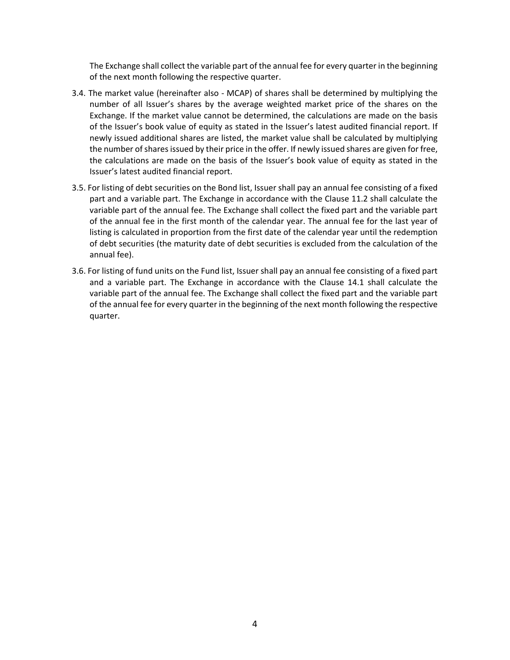The Exchange shall collect the variable part of the annual fee for every quarter in the beginning of the next month following the respective quarter.

- 3.4. The market value (hereinafter also MCAP) of shares shall be determined by multiplying the number of all Issuer's shares by the average weighted market price of the shares on the Exchange. If the market value cannot be determined, the calculations are made on the basis of the Issuer's book value of equity as stated in the Issuer's latest audited financial report. If newly issued additional shares are listed, the market value shall be calculated by multiplying the number of shares issued by their price in the offer. If newly issued shares are given for free, the calculations are made on the basis of the Issuer's book value of equity as stated in the Issuer's latest audited financial report.
- 3.5. For listing of debt securities on the Bond list, Issuer shall pay an annual fee consisting of a fixed part and a variable part. The Exchange in accordance with the Clause 11.2 shall calculate the variable part of the annual fee. The Exchange shall collect the fixed part and the variable part of the annual fee in the first month of the calendar year. The annual fee for the last year of listing is calculated in proportion from the first date of the calendar year until the redemption of debt securities (the maturity date of debt securities is excluded from the calculation of the annual fee).
- 3.6. For listing of fund units on the Fund list, Issuer shall pay an annual fee consisting of a fixed part and a variable part. The Exchange in accordance with the Clause 14.1 shall calculate the variable part of the annual fee. The Exchange shall collect the fixed part and the variable part of the annual fee for every quarter in the beginning of the next month following the respective quarter.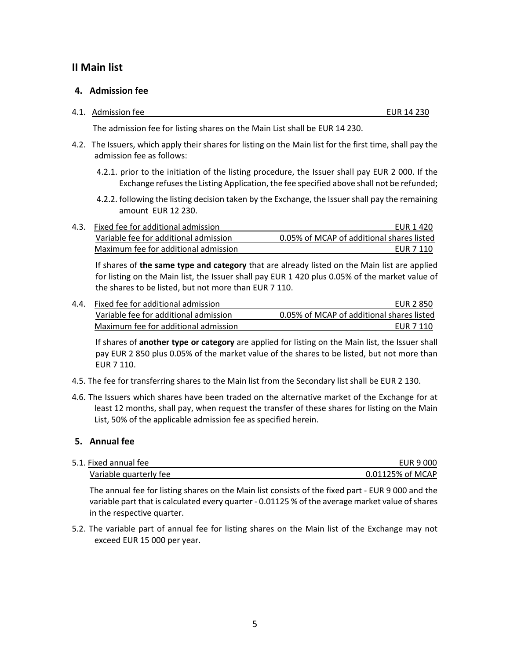# <span id="page-4-1"></span><span id="page-4-0"></span>**II Main list**

### **4. Admission fee**

#### 4.1. Admission fee EUR 14 230

The admission fee for listing shares on the Main List shall be EUR 14 230.

- 4.2. The Issuers, which apply their shares for listing on the Main list for the first time, shall pay the admission fee as follows:
	- 4.2.1. prior to the initiation of the listing procedure, the Issuer shall pay EUR 2 000. If the Exchange refuses the Listing Application, the fee specified above shall not be refunded;
	- 4.2.2. following the listing decision taken by the Exchange, the Issuer shall pay the remaining amount EUR 12 230.
- 4.3. Fixed fee for additional admission EUR 1 420 Variable fee for additional admission 0.05% of MCAP of additional shares listed Maximum fee for additional admission example and the example of the EUR 7 110

If shares of **the same type and category** that are already listed on the Main list are applied for listing on the Main list, the Issuer shall pay EUR 1 420 plus 0.05% of the market value of the shares to be listed, but not more than EUR 7 110.

4.4. Fixed fee for additional admission EUR 2 850 Variable fee for additional admission 0.05% of MCAP of additional shares listed Maximum fee for additional admission example and the example of the EUR 7 110

If shares of **another type or category** are applied for listing on the Main list, the Issuer shall pay EUR 2 850 plus 0.05% of the market value of the shares to be listed, but not more than EUR 7 110.

- 4.5. The fee for transferring shares to the Main list from the Secondary list shall be EUR 2 130.
- 4.6. The Issuers which shares have been traded on the alternative market of the Exchange for at least 12 months, shall pay, when request the transfer of these shares for listing on the Main List, 50% of the applicable admission fee as specified herein.

### <span id="page-4-2"></span>**5. Annual fee**

| 5.1. Fixed annual fee  | EUR 9 000        |
|------------------------|------------------|
| Variable quarterly fee | 0.01125% of MCAP |

The annual fee for listing shares on the Main list consists of the fixed part - EUR 9 000 and the variable part that is calculated every quarter - 0.01125 % of the average market value of shares in the respective quarter.

5.2. The variable part of annual fee for listing shares on the Main list of the Exchange may not exceed EUR 15 000 per year.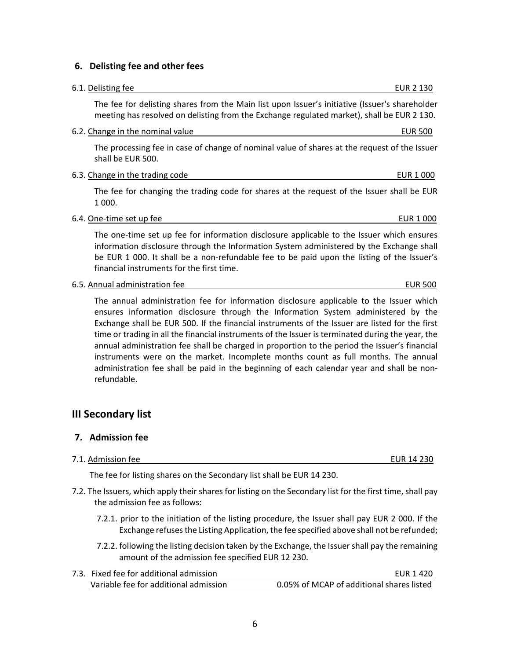## <span id="page-5-0"></span>**6. Delisting fee and other fees**

# The fee for delisting shares from the Main list upon Issuer's initiative (Issuer's shareholder meeting has resolved on delisting from the Exchange regulated market), shall be EUR 2 130. 6.2. Change in the nominal value EUR 500 The processing fee in case of change of nominal value of shares at the request of the Issuer shall be EUR 500. 6.3. Change in the trading code example of the trading code EUR 1 000 The fee for changing the trading code for shares at the request of the Issuer shall be EUR 1 000. 6.4. One-time set up fee EUR 1 000 The one-time set up fee for information disclosure applicable to the Issuer which ensures information disclosure through the Information System administered by the Exchange shall be EUR 1 000. It shall be a non-refundable fee to be paid upon the listing of the Issuer's financial instruments for the first time. 6.5. Annual administration fee example and the example of the EUR 500 set of the EUR 500 set of the EUR 500 set of the EUR 500 set of the EUR 500 set of the EUR 500 set of the EUR 500 set of the EUR 500 set of the EUR 500

The annual administration fee for information disclosure applicable to the Issuer which ensures information disclosure through the Information System administered by the Exchange shall be EUR 500. If the financial instruments of the Issuer are listed for the first time or trading in all the financial instruments of the Issuer is terminated during the year, the annual administration fee shall be charged in proportion to the period the Issuer's financial instruments were on the market. Incomplete months count as full months. The annual administration fee shall be paid in the beginning of each calendar year and shall be nonrefundable.

# <span id="page-5-2"></span><span id="page-5-1"></span>**III Secondary list**

# **7. Admission fee**

7.1. Admission fee EUR 14 230

The fee for listing shares on the Secondary list shall be EUR 14 230.

- 7.2. The Issuers, which apply their shares for listing on the Secondary list for the first time, shall pay the admission fee as follows:
	- 7.2.1. prior to the initiation of the listing procedure, the Issuer shall pay EUR 2 000. If the Exchange refuses the Listing Application, the fee specified above shall not be refunded;
	- 7.2.2. following the listing decision taken by the Exchange, the Issuer shall pay the remaining amount of the admission fee specified EUR 12 230.

| 7.3. Fixed fee for additional admission | FUR 1 420                                 |
|-----------------------------------------|-------------------------------------------|
| Variable fee for additional admission   | 0.05% of MCAP of additional shares listed |

6

6.1. Delisting fee EUR 2 130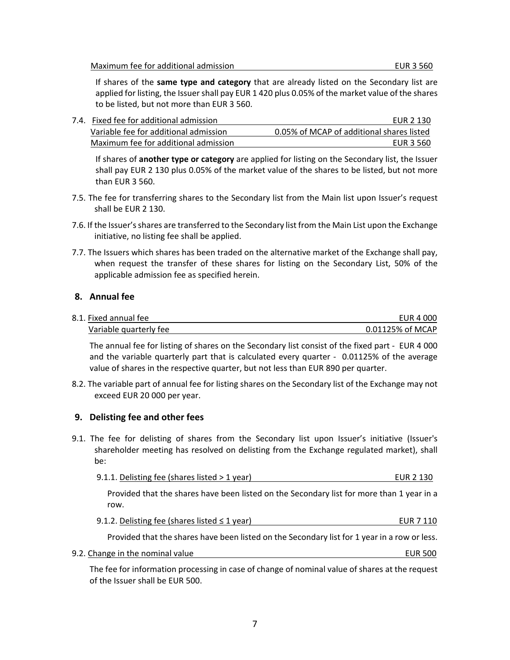Maximum fee for additional admission example of the state of the EUR 3 560

If shares of the **same type and category** that are already listed on the Secondary list are applied for listing, the Issuer shall pay EUR 1 420 plus 0.05% of the market value of the shares to be listed, but not more than EUR 3 560.

| 7.4. Fixed fee for additional admission | EUR 2 130                                 |
|-----------------------------------------|-------------------------------------------|
| Variable fee for additional admission   | 0.05% of MCAP of additional shares listed |
| Maximum fee for additional admission    | EUR 3 560                                 |

If shares of **another type or category** are applied for listing on the Secondary list, the Issuer shall pay EUR 2 130 plus 0.05% of the market value of the shares to be listed, but not more than EUR 3 560.

- 7.5. The fee for transferring shares to the Secondary list from the Main list upon Issuer's request shall be EUR 2 130.
- 7.6. If the Issuer's shares are transferred to the Secondary list from the Main List upon the Exchange initiative, no listing fee shall be applied.
- 7.7. The Issuers which shares has been traded on the alternative market of the Exchange shall pay, when request the transfer of these shares for listing on the Secondary List, 50% of the applicable admission fee as specified herein.

### <span id="page-6-0"></span>**8. Annual fee**

| 8.1. Fixed annual fee  | EUR 4 000        |
|------------------------|------------------|
| Variable quarterly fee | 0.01125% of MCAP |

The annual fee for listing of shares on the Secondary list consist of the fixed part - EUR 4 000 and the variable quarterly part that is calculated every quarter - 0.01125% of the average value of shares in the respective quarter, but not less than EUR 890 per quarter.

8.2. The variable part of annual fee for listing shares on the Secondary list of the Exchange may not exceed EUR 20 000 per year.

### <span id="page-6-1"></span>**9. Delisting fee and other fees**

9.1. The fee for delisting of shares from the Secondary list upon Issuer's initiative (Issuer's shareholder meeting has resolved on delisting from the Exchange regulated market), shall be:

| 9.1.1. Delisting fee (shares listed $>$ 1 year) | EUR 2 130 |
|-------------------------------------------------|-----------|
|                                                 |           |

Provided that the shares have been listed on the Secondary list for more than 1 year in a row.

9.1.2. Delisting fee (shares listed ≤ 1 year) EUR 7 110

Provided that the shares have been listed on the Secondary list for 1 year in a row or less.

9.2. Change in the nominal value EUR 500

The fee for information processing in case of change of nominal value of shares at the request of the Issuer shall be EUR 500.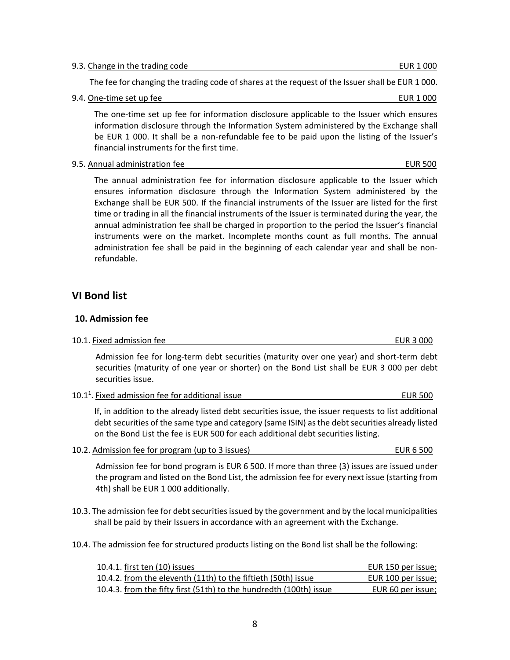9.3. Change in the trading code example of the trading code example of the EUR 1 000

The fee for changing the trading code of shares at the request of the Issuer shall be EUR 1 000.

9.4. One-time set up fee EUR 1 000

The one-time set up fee for information disclosure applicable to the Issuer which ensures information disclosure through the Information System administered by the Exchange shall be EUR 1 000. It shall be a non-refundable fee to be paid upon the listing of the Issuer's financial instruments for the first time.

9.5. Annual administration fee **EUR 500** CONSERVING SERVICE SERVICE SERVICE SERVICE SERVICE SERVICE SERVICE SERVICE SERVICE SERVICE SERVICE SERVICE SERVICE SERVICE SERVICE SERVICE SERVICE SERVICE SERVICE SERVICE SERVICE SE

The annual administration fee for information disclosure applicable to the Issuer which ensures information disclosure through the Information System administered by the Exchange shall be EUR 500. If the financial instruments of the Issuer are listed for the first time or trading in all the financial instruments of the Issuer is terminated during the year, the annual administration fee shall be charged in proportion to the period the Issuer's financial instruments were on the market. Incomplete months count as full months. The annual administration fee shall be paid in the beginning of each calendar year and shall be nonrefundable.

## <span id="page-7-1"></span><span id="page-7-0"></span>**VI Bond list**

### **10. Admission fee**

#### 10.1. Fixed admission fee **EUR 3** 000

Admission fee for long-term debt securities (maturity over one year) and short-term debt securities (maturity of one year or shorter) on the Bond List shall be EUR 3 000 per debt securities issue.

| 10.1 <sup>1</sup> . Fixed admission fee for additional issue | <b>EUR 500</b> |
|--------------------------------------------------------------|----------------|
|--------------------------------------------------------------|----------------|

If, in addition to the already listed debt securities issue, the issuer requests to list additional debt securities of the same type and category (same ISIN) as the debt securities already listed on the Bond List the fee is EUR 500 for each additional debt securities listing.

10.2. Admission fee for program (up to 3 issues) EUR 6 500

Admission fee for bond program is EUR 6 500. If more than three (3) issues are issued under the program and listed on the Bond List, the admission fee for every next issue (starting from 4th) shall be EUR 1 000 additionally.

- 10.3. The admission fee for debt securities issued by the government and by the local municipalities shall be paid by their Issuers in accordance with an agreement with the Exchange.
- 10.4. The admission fee for structured products listing on the Bond list shall be the following:

| 10.4.1. first ten (10) issues                                      | EUR 150 per issue: |
|--------------------------------------------------------------------|--------------------|
| 10.4.2. from the eleventh (11th) to the fiftieth (50th) issue      | EUR 100 per issue; |
| 10.4.3. from the fifty first (51th) to the hundredth (100th) issue | EUR 60 per issue;  |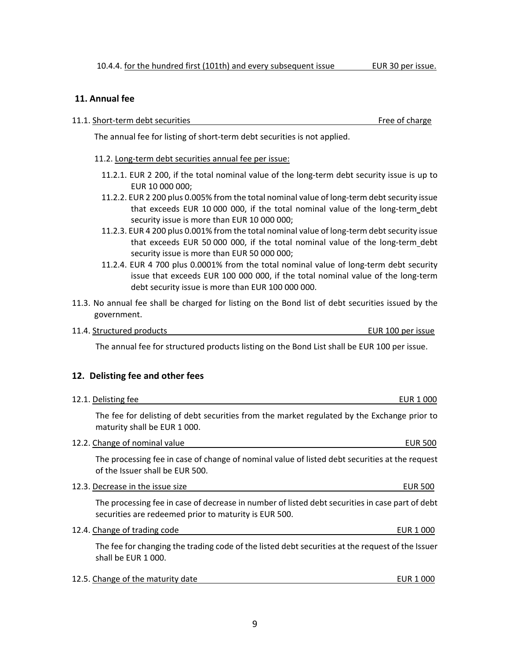### <span id="page-8-0"></span>**11. Annual fee**

11.1. Short-term debt securities Free of charge Free of charge

The annual fee for listing of short-term debt securities is not applied.

- 11.2. Long-term debt securities annual fee per issue:
	- 11.2.1. EUR 2 200, if the total nominal value of the long-term debt security issue is up to EUR 10 000 000;
	- 11.2.2. EUR 2 200 plus 0.005% from the total nominal value of long-term debt security issue that exceeds EUR 10 000 000, if the total nominal value of the long-term debt security issue is more than EUR 10 000 000;
	- 11.2.3. EUR 4 200 plus 0.001% from the total nominal value of long-term debt security issue that exceeds EUR 50 000 000, if the total nominal value of the long-term debt security issue is more than EUR 50 000 000;
	- 11.2.4. EUR 4 700 plus 0.0001% from the total nominal value of long-term debt security issue that exceeds EUR 100 000 000, if the total nominal value of the long-term debt security issue is more than EUR 100 000 000.
- 11.3. No annual fee shall be charged for listing on the Bond list of debt securities issued by the government.
- 11.4. Structured products EUR 100 per issue

The annual fee for structured products listing on the Bond List shall be EUR 100 per issue.

### <span id="page-8-1"></span>**12. Delisting fee and other fees**

| 12.1. Delisting fee                                                                                                                                      | EUR 1 000      |
|----------------------------------------------------------------------------------------------------------------------------------------------------------|----------------|
| The fee for delisting of debt securities from the market regulated by the Exchange prior to<br>maturity shall be EUR 1000.                               |                |
| 12.2. Change of nominal value                                                                                                                            | <b>EUR 500</b> |
| The processing fee in case of change of nominal value of listed debt securities at the request<br>of the Issuer shall be EUR 500.                        |                |
| 12.3. Decrease in the issue size                                                                                                                         | <b>EUR 500</b> |
| The processing fee in case of decrease in number of listed debt securities in case part of debt<br>securities are redeemed prior to maturity is EUR 500. |                |
| 12.4. Change of trading code                                                                                                                             | EUR 1 000      |
| The fee for changing the trading code of the listed debt securities at the request of the Issuer<br>shall be EUR 1000.                                   |                |
| 12.5. Change of the maturity date                                                                                                                        | EUR 1 000      |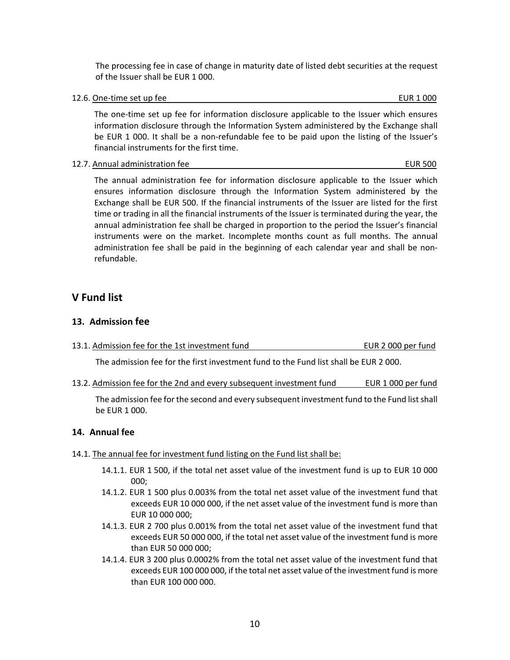The processing fee in case of change in maturity date of listed debt securities at the request of the Issuer shall be EUR 1 000.

12.6. One-time set up fee example and the example of the EUR 1 000 EUR 1 000

The one-time set up fee for information disclosure applicable to the Issuer which ensures information disclosure through the Information System administered by the Exchange shall be EUR 1 000. It shall be a non-refundable fee to be paid upon the listing of the Issuer's financial instruments for the first time.

12.7. Annual administration fee **EUR 500** 

The annual administration fee for information disclosure applicable to the Issuer which ensures information disclosure through the Information System administered by the Exchange shall be EUR 500. If the financial instruments of the Issuer are listed for the first time or trading in all the financial instruments of the Issuer is terminated during the year, the annual administration fee shall be charged in proportion to the period the Issuer's financial instruments were on the market. Incomplete months count as full months. The annual administration fee shall be paid in the beginning of each calendar year and shall be nonrefundable.

# <span id="page-9-0"></span>**V Fund list**

## <span id="page-9-1"></span>**13. Admission fee**

13.1. Admission fee for the 1st investment fund EUR 2 000 per fund

The admission fee for the first investment fund to the Fund list shall be EUR 2 000.

13.2. Admission fee for the 2nd and every subsequent investment fund EUR 1 000 per fund

The admission fee for the second and every subsequent investment fund to the Fund list shall be EUR 1 000.

### <span id="page-9-2"></span>**14. Annual fee**

- 14.1. The annual fee for investment fund listing on the Fund list shall be:
	- 14.1.1. EUR 1 500, if the total net asset value of the investment fund is up to EUR 10 000 000;
	- 14.1.2. EUR 1 500 plus 0.003% from the total net asset value of the investment fund that exceeds EUR 10 000 000, if the net asset value of the investment fund is more than EUR 10 000 000;
	- 14.1.3. EUR 2 700 plus 0.001% from the total net asset value of the investment fund that exceeds EUR 50 000 000, if the total net asset value of the investment fund is more than EUR 50 000 000;
	- 14.1.4. EUR 3 200 plus 0.0002% from the total net asset value of the investment fund that exceeds EUR 100 000 000, if the total net asset value of the investment fund is more than EUR 100 000 000.